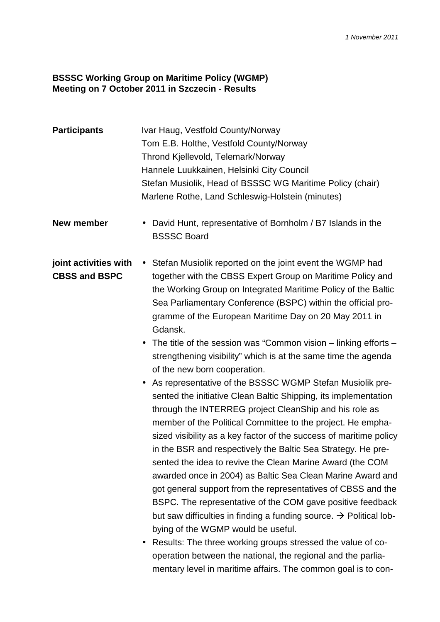## **BSSSC Working Group on Maritime Policy (WGMP) Meeting on 7 October 2011 in Szczecin - Results**

| <b>Participants</b>                           | Ivar Haug, Vestfold County/Norway<br>Tom E.B. Holthe, Vestfold County/Norway<br>Thrond Kjellevold, Telemark/Norway<br>Hannele Luukkainen, Helsinki City Council<br>Stefan Musiolik, Head of BSSSC WG Maritime Policy (chair)<br>Marlene Rothe, Land Schleswig-Holstein (minutes)                                                                                                                                                                                                                                                                                                                                                                                                                                                                                                                                                                                                                                                                                                                                                                                                                                                                                                                                                                                                      |
|-----------------------------------------------|---------------------------------------------------------------------------------------------------------------------------------------------------------------------------------------------------------------------------------------------------------------------------------------------------------------------------------------------------------------------------------------------------------------------------------------------------------------------------------------------------------------------------------------------------------------------------------------------------------------------------------------------------------------------------------------------------------------------------------------------------------------------------------------------------------------------------------------------------------------------------------------------------------------------------------------------------------------------------------------------------------------------------------------------------------------------------------------------------------------------------------------------------------------------------------------------------------------------------------------------------------------------------------------|
| New member                                    | David Hunt, representative of Bornholm / B7 Islands in the<br><b>BSSSC Board</b>                                                                                                                                                                                                                                                                                                                                                                                                                                                                                                                                                                                                                                                                                                                                                                                                                                                                                                                                                                                                                                                                                                                                                                                                      |
| joint activities with<br><b>CBSS and BSPC</b> | • Stefan Musiolik reported on the joint event the WGMP had<br>together with the CBSS Expert Group on Maritime Policy and<br>the Working Group on Integrated Maritime Policy of the Baltic<br>Sea Parliamentary Conference (BSPC) within the official pro-<br>gramme of the European Maritime Day on 20 May 2011 in<br>Gdansk.<br>The title of the session was "Common vision $-$ linking efforts $-$<br>strengthening visibility" which is at the same time the agenda<br>of the new born cooperation.<br>As representative of the BSSSC WGMP Stefan Musiolik pre-<br>sented the initiative Clean Baltic Shipping, its implementation<br>through the INTERREG project CleanShip and his role as<br>member of the Political Committee to the project. He empha-<br>sized visibility as a key factor of the success of maritime policy<br>in the BSR and respectively the Baltic Sea Strategy. He pre-<br>sented the idea to revive the Clean Marine Award (the COM<br>awarded once in 2004) as Baltic Sea Clean Marine Award and<br>got general support from the representatives of CBSS and the<br>BSPC. The representative of the COM gave positive feedback<br>but saw difficulties in finding a funding source. $\rightarrow$ Political lob-<br>bying of the WGMP would be useful. |

• Results: The three working groups stressed the value of cooperation between the national, the regional and the parliamentary level in maritime affairs. The common goal is to con